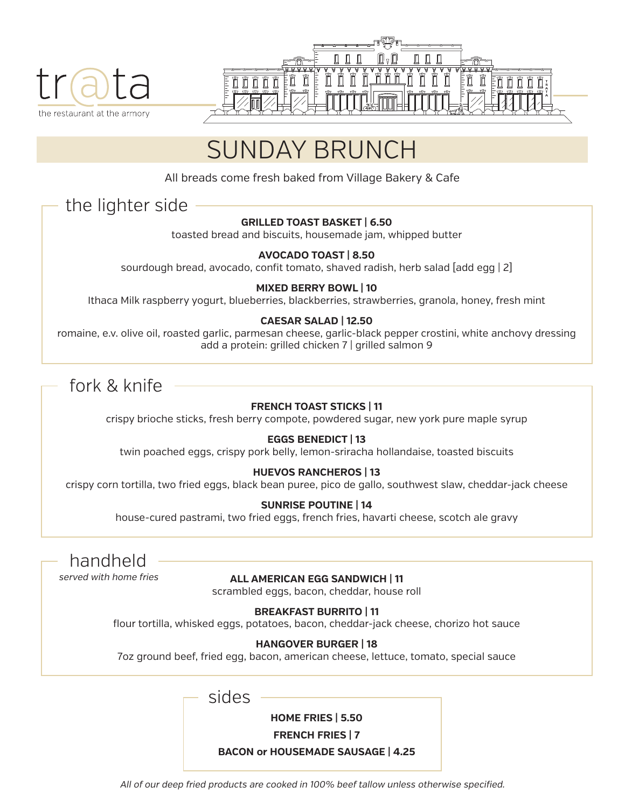



# SUNDAY BRUNCH

All breads come fresh baked from Village Bakery & Cafe

### the lighter side

#### **GRILLED TOAST BASKET | 6.50**

toasted bread and biscuits, housemade jam, whipped butter

#### **AVOCADO TOAST | 8.50**

sourdough bread, avocado, confit tomato, shaved radish, herb salad [add egg | 2]

#### **MIXED BERRY BOWL | 10**

Ithaca Milk raspberry yogurt, blueberries, blackberries, strawberries, granola, honey, fresh mint

#### **CAESAR SALAD | 12.50**

romaine, e.v. olive oil, roasted garlic, parmesan cheese, garlic-black pepper crostini, white anchovy dressing add a protein: grilled chicken 7 | grilled salmon 9

### fork & knife

#### **FRENCH TOAST STICKS | 11**

crispy brioche sticks, fresh berry compote, powdered sugar, new york pure maple syrup

#### **EGGS BENEDICT | 13**

twin poached eggs, crispy pork belly, lemon-sriracha hollandaise, toasted biscuits

#### **HUEVOS RANCHEROS | 13**

crispy corn tortilla, two fried eggs, black bean puree, pico de gallo, southwest slaw, cheddar-jack cheese

#### **SUNRISE POUTINE | 14**

house-cured pastrami, two fried eggs, french fries, havarti cheese, scotch ale gravy

handheld served with home fries

#### **ALL AMERICAN EGG SANDWICH | 11**

scrambled eggs, bacon, cheddar, house roll

#### **BREAKFAST BURRITO | 11**

flour tortilla, whisked eggs, potatoes, bacon, cheddar-jack cheese, chorizo hot sauce

#### **HANGOVER BURGER | 18**

7oz ground beef, fried egg, bacon, american cheese, lettuce, tomato, special sauce

sides

**HOME FRIES | 5.50**

**FRENCH FRIES | 7**

#### **BACON or HOUSEMADE SAUSAGE | 4.25**

All of our deep fried products are cooked in 100% beef tallow unless otherwise specified.